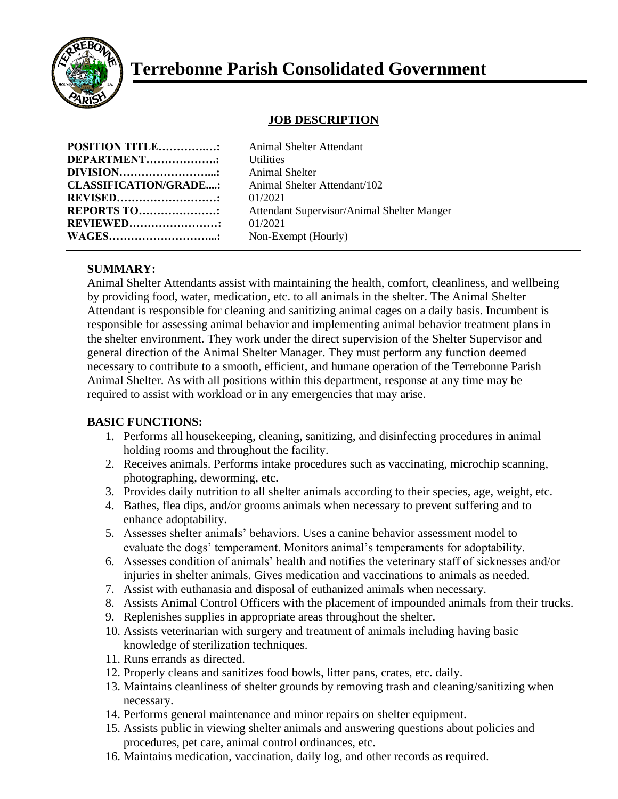

# **Terrebonne Parish Consolidated Government**

## **JOB DESCRIPTION**

| <b>POSITION TITLE:</b>       |  |
|------------------------------|--|
| DEPARTMENT                   |  |
| DIVISION                     |  |
| <b>CLASSIFICATION/GRADE:</b> |  |
| <b>REVISED</b>               |  |
| REPORTS TO                   |  |
| <b>REVIEWED</b>              |  |
| <b>WAGES</b>                 |  |

**Animal Shelter Attendant Utilities Animal Shelter CLASSIFICATION/GRADE....:** Animal Shelter Attendant/102 **REVISED………………………:** 01/2021 Attendant Supervisor/Animal Shelter Manger **REVIEWED……………………:** 01/2021 Non-Exempt (Hourly)

## **SUMMARY:**

Animal Shelter Attendants assist with maintaining the health, comfort, cleanliness, and wellbeing by providing food, water, medication, etc. to all animals in the shelter. The Animal Shelter Attendant is responsible for cleaning and sanitizing animal cages on a daily basis. Incumbent is responsible for assessing animal behavior and implementing animal behavior treatment plans in the shelter environment. They work under the direct supervision of the Shelter Supervisor and general direction of the Animal Shelter Manager. They must perform any function deemed necessary to contribute to a smooth, efficient, and humane operation of the Terrebonne Parish Animal Shelter. As with all positions within this department, response at any time may be required to assist with workload or in any emergencies that may arise.

## **BASIC FUNCTIONS:**

- 1. Performs all housekeeping, cleaning, sanitizing, and disinfecting procedures in animal holding rooms and throughout the facility.
- 2. Receives animals. Performs intake procedures such as vaccinating, microchip scanning, photographing, deworming, etc.
- 3. Provides daily nutrition to all shelter animals according to their species, age, weight, etc.
- 4. Bathes, flea dips, and/or grooms animals when necessary to prevent suffering and to enhance adoptability.
- 5. Assesses shelter animals' behaviors. Uses a canine behavior assessment model to evaluate the dogs' temperament. Monitors animal's temperaments for adoptability.
- 6. Assesses condition of animals' health and notifies the veterinary staff of sicknesses and/or injuries in shelter animals. Gives medication and vaccinations to animals as needed.
- 7. Assist with euthanasia and disposal of euthanized animals when necessary.
- 8. Assists Animal Control Officers with the placement of impounded animals from their trucks.
- 9. Replenishes supplies in appropriate areas throughout the shelter.
- 10. Assists veterinarian with surgery and treatment of animals including having basic knowledge of sterilization techniques.
- 11. Runs errands as directed.
- 12. Properly cleans and sanitizes food bowls, litter pans, crates, etc. daily.
- 13. Maintains cleanliness of shelter grounds by removing trash and cleaning/sanitizing when necessary.
- 14. Performs general maintenance and minor repairs on shelter equipment.
- 15. Assists public in viewing shelter animals and answering questions about policies and procedures, pet care, animal control ordinances, etc.
- 16. Maintains medication, vaccination, daily log, and other records as required.